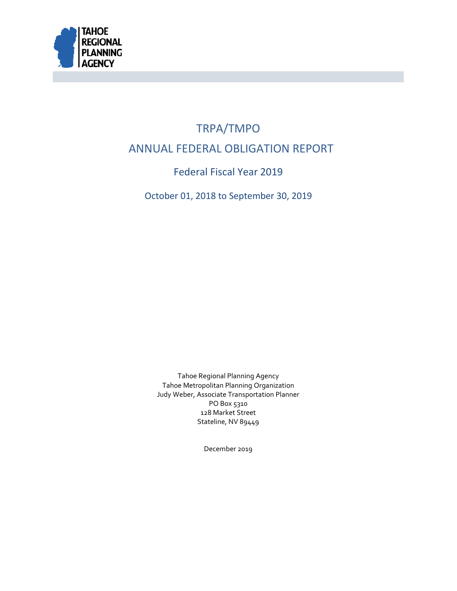

# <span id="page-0-1"></span><span id="page-0-0"></span>TRPA/TMPO ANNUAL FEDERAL OBLIGATION REPORT

Federal Fiscal Year 2019

October 01, 2018 to September 30, 2019

<span id="page-0-2"></span>Tahoe Regional Planning Agency Tahoe Metropolitan Planning Organization Judy Weber, Associate Transportation Planner PO Box 5310 128 Market Street Stateline, NV 89449

December 2019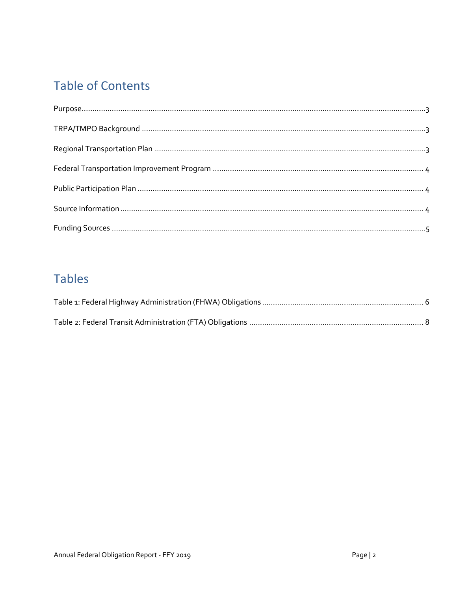## <span id="page-1-0"></span>**Table of Contents**

## <span id="page-1-1"></span>**Tables**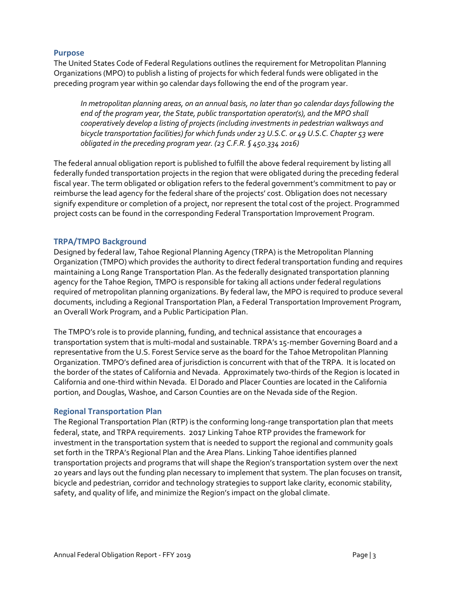#### **Purpose**

The United States Code of Federal Regulations outlines the requirement for Metropolitan Planning Organizations (MPO) to publish a listing of projects for which federal funds were obligated in the preceding program year within 90 calendar days following the end of the program year.

*In metropolitan planning areas, on an annual basis, no later than 90 calendar days following the end of the program year, the State, public transportation operator(s), and the MPO shall cooperatively develop a listing of projects (including investments in pedestrian walkways and bicycle transportation facilities) for which funds under 23 U.S.C. or 49 U.S.C. Chapter 53 were obligated in the preceding program year. (23 C.F.R. § 450.334 2016)*

The federal annual obligation report is published to fulfill the above federal requirement by listing all federally funded transportation projects in the region that were obligated during the preceding federal fiscal year. The term obligated or obligation refers to the federal government's commitment to pay or reimburse the lead agency for the federal share of the projects' cost. Obligation does not necessary signify expenditure or completion of a project, nor represent the total cost of the project. Programmed project costs can be found in the corresponding Federal Transportation Improvement Program.

#### **TRPA/TMPO Background**

Designed by federal law, Tahoe Regional Planning Agency (TRPA) is the Metropolitan Planning Organization (TMPO) which provides the authority to direct federal transportation funding and requires maintaining a Long Range Transportation Plan. As the federally designated transportation planning agency for the Tahoe Region, TMPO is responsible for taking all actions under federal regulations required of metropolitan planning organizations. By federal law, the MPO is required to produce several documents, including a Regional Transportation Plan, a Federal Transportation Improvement Program, an Overall Work Program, and a Public Participation Plan.

The TMPO's role is to provide planning, funding, and technical assistance that encourages a transportation system that is multi-modal and sustainable. [TRPA's 15-member Governing](http://www.trpa.org/about-trpa/governing-board/) Board and a representative from the U.S. Forest Service serve as the board for the Tahoe Metropolitan Planning Organization. TMPO's defined area of jurisdiction is concurrent with that of the TRPA. It is located on the border of the states of California and Nevada. Approximately two-thirds of the Region is located in California and one-third within Nevada. El Dorado and Placer Counties are located in the California portion, and Douglas, Washoe, and Carson Counties are on the Nevada side of the Region.

#### **Regional Transportation Plan**

The Regional Transportation Plan (RTP) is the conforming long-range transportation plan that meets federal, state, and TRPA requirements. 2017 Linking Tahoe RTP provides the framework for investment in the transportation system that is needed to support the regional and community goals set forth in the TRPA's Regional Plan and the Area Plans. Linking Tahoe identifies planned transportation projects and programs that will shape the Region's transportation system over the next 20 years and lays out the funding plan necessary to implement that system. The plan focuses on transit, bicycle and pedestrian, corridor and technology strategies to support lake clarity, economic stability, safety, and quality of life, and minimize the Region's impact on the global climate.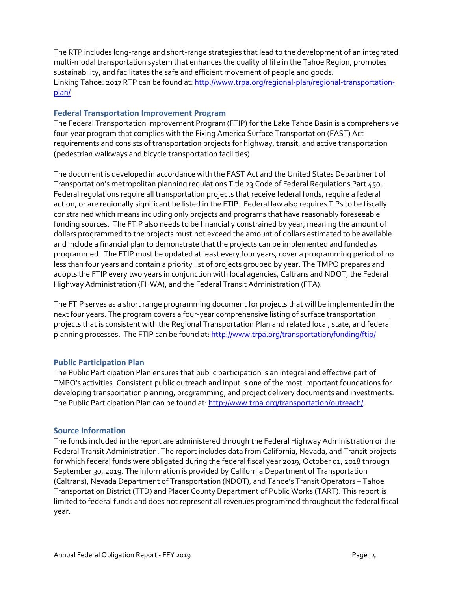The RTP includes long-range and short-range strategies that lead to the development of an integrated multi-modal transportation system that enhances the quality of life in the Tahoe Region, promotes sustainability, and facilitates the safe and efficient movement of people and goods. Linking Tahoe: 2017 RTP can be found at: [http://www.trpa.org/regional-plan/regional-transportation](http://www.trpa.org/regional-plan/regional-transportation-plan/)[plan/](http://www.trpa.org/regional-plan/regional-transportation-plan/)

#### **Federal Transportation Improvement Program**

The Federal Transportation Improvement Program (FTIP) for the Lake Tahoe Basin is a comprehensive four-year program that complies with the Fixing America Surface Transportation (FAST) Act requirements and consists of transportation projects for highway, transit, and active transportation (pedestrian walkways and bicycle transportation facilities).

The document is developed in accordance with the FAST Act and the United States Department of Transportation's metropolitan planning regulations Title 23 Code of Federal Regulations Part 450. Federal regulations require all transportation projects that receive federal funds, require a federal action, or are regionally significant be listed in the FTIP. Federal law also requires TIPs to be fiscally constrained which means including only projects and programs that have reasonably foreseeable funding sources. The FTIP also needs to be financially constrained by year, meaning the amount of dollars programmed to the projects must not exceed the amount of dollars estimated to be available and include a financial plan to demonstrate that the projects can be implemented and funded as programmed. The FTIP must be updated at least every four years, cover a programming period of no less than four years and contain a priority list of projects grouped by year. The TMPO prepares and adopts the FTIP every two years in conjunction with local agencies, Caltrans and NDOT, the Federal Highway Administration (FHWA), and the Federal Transit Administration (FTA).

The FTIP serves as a short range programming document for projects that will be implemented in the next four years. The program covers a four-year comprehensive listing of surface transportation projects that is consistent with the Regional Transportation Plan and related local, state, and federal planning processes. The FTIP can be found at[: http://www.trpa.org/transportation/funding/ftip/](http://www.trpa.org/transportation/funding/ftip/)

#### **Public Participation Plan**

The Public Participation Plan ensures that public participation is an integral and effective part of TMPO's activities. Consistent public outreach and input is one of the most important foundations for developing transportation planning, programming, and project delivery documents and investments. The Public Participation Plan can be found at[: http://www.trpa.org/transportation/outreach/](http://www.trpa.org/transportation/outreach/)

#### **Source Information**

The funds included in the report are administered through the Federal Highway Administration or the Federal Transit Administration. The report includes data from California, Nevada, and Transit projects for which federal funds were obligated during the federal fiscal year 2019, October 01, 2018 through September 30, 2019. The information is provided by California Department of Transportation (Caltrans), Nevada Department of Transportation (NDOT), and Tahoe's Transit Operators – Tahoe Transportation District (TTD) and Placer County Department of Public Works (TART). This report is limited to federal funds and does not represent all revenues programmed throughout the federal fiscal year.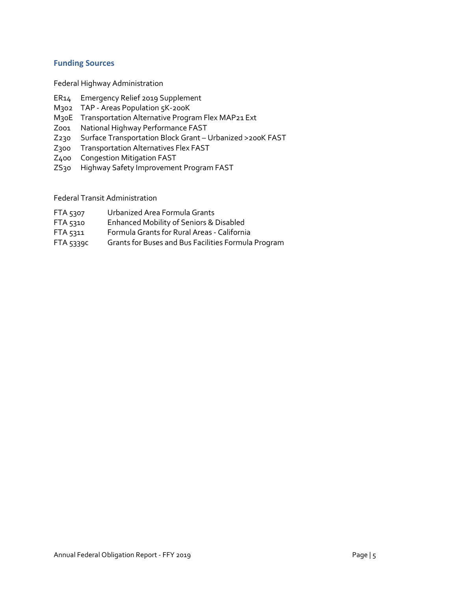#### **Funding Sources**

Federal Highway Administration

- <span id="page-4-0"></span>ER14 Emergency Relief 2019 Supplement
- M302 TAP Areas Population 5K-200K
- M30E Transportation Alternative Program Flex MAP21 Ext
- Z001 National Highway Performance FAST
- Z230 Surface Transportation Block Grant Urbanized >200K FAST
- Z300 Transportation Alternatives Flex FAST
- Z400 Congestion Mitigation FAST
- ZS30 Highway Safety Improvement Program FAST

#### Federal Transit Administration

- FTA 5307 Urbanized Area Formula Grants
- FTA 5310 Enhanced Mobility of Seniors & Disabled
- FTA 5311 Formula Grants for Rural Areas California
- FTA 5339c Grants for Buses and Bus Facilities Formula Program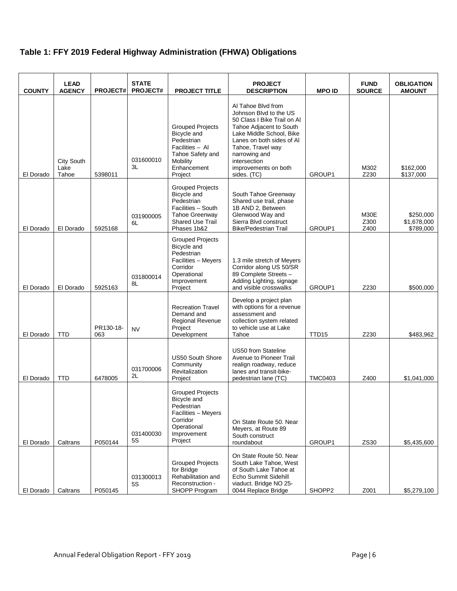### **Table 1: FFY 2019 Federal Highway Administration (FHWA) Obligations**

| <b>COUNTY</b> | <b>LEAD</b><br><b>AGENCY</b>       | <b>PROJECT#</b>  | <b>STATE</b><br><b>PROJECT#</b> | <b>PROJECT TITLE</b>                                                                                                                   | <b>PROJECT</b><br><b>DESCRIPTION</b>                                                                                                                                                                                                                         | <b>MPO ID</b>     | <b>FUND</b><br><b>SOURCE</b> | <b>OBLIGATION</b><br><b>AMOUNT</b>    |
|---------------|------------------------------------|------------------|---------------------------------|----------------------------------------------------------------------------------------------------------------------------------------|--------------------------------------------------------------------------------------------------------------------------------------------------------------------------------------------------------------------------------------------------------------|-------------------|------------------------------|---------------------------------------|
| El Dorado     | <b>City South</b><br>Lake<br>Tahoe | 5398011          | 031600010<br>3L                 | <b>Grouped Projects</b><br>Bicycle and<br>Pedestrian<br>Facilities - Al<br>Tahoe Safety and<br>Mobility<br>Enhancement<br>Project      | Al Tahoe Blvd from<br>Johnson Blvd to the US<br>50 Class I Bike Trail on AI<br>Tahoe Adjacent to South<br>Lake Middle School, Bike<br>Lanes on both sides of Al<br>Tahoe, Travel way<br>narrowing and<br>intersection<br>improvements on both<br>sides. (TC) | GROUP1            | M302<br>Z230                 | \$162,000<br>\$137,000                |
| El Dorado     | El Dorado                          | 5925168          | 031900005<br>6L                 | <b>Grouped Projects</b><br>Bicycle and<br>Pedestrian<br>Facilities - South<br>Tahoe Greenway<br><b>Shared Use Trail</b><br>Phases 1b&2 | South Tahoe Greenway<br>Shared use trail, phase<br>1B AND 2, Between<br>Glenwood Way and<br>Sierra Blvd construct<br><b>Bike/Pedestrian Trail</b>                                                                                                            | GROUP1            | M30E<br>Z300<br>Z400         | \$250,000<br>\$1,678,000<br>\$789,000 |
| El Dorado     | El Dorado                          | 5925163          | 031800014<br>8L                 | <b>Grouped Projects</b><br>Bicycle and<br>Pedestrian<br>Facilities - Meyers<br>Corridor<br>Operational<br>Improvement<br>Project       | 1.3 mile stretch of Meyers<br>Corridor along US 50/SR<br>89 Complete Streets -<br>Adding Lighting, signage<br>and visible crosswalks                                                                                                                         | GROUP1            | Z230                         | \$500,000                             |
| El Dorado     | <b>TTD</b>                         | PR130-18-<br>063 | <b>NV</b>                       | <b>Recreation Travel</b><br>Demand and<br>Regional Revenue<br>Project<br>Development                                                   | Develop a project plan<br>with options for a revenue<br>assessment and<br>collection system related<br>to vehicle use at Lake<br>Tahoe                                                                                                                       | TTD <sub>15</sub> | Z230                         | \$483,962                             |
| El Dorado     | <b>TTD</b>                         | 6478005          | 031700006<br>2L                 | <b>US50 South Shore</b><br>Community<br>Revitalization<br>Project                                                                      | <b>US50 from Stateline</b><br>Avenue to Pioneer Trail<br>realign roadway, reduce<br>lanes and transit-bike-<br>pedestrian lane (TC)                                                                                                                          | <b>TMC0403</b>    | Z400                         | \$1,041,000                           |
| El Dorado     | Caltrans                           | P050144          | 031400030<br><b>5S</b>          | <b>Grouped Projects</b><br>Bicycle and<br>Pedestrian<br>Facilities - Meyers<br>Corridor<br>Operational<br>Improvement<br>Project       | On State Route 50. Near<br>Meyers, at Route 89<br>South construct<br>roundabout                                                                                                                                                                              | GROUP1            | ZS30                         | \$5,435,600                           |
| El Dorado     | Caltrans                           | P050145          | 031300013<br><b>5S</b>          | <b>Grouped Projects</b><br>for Bridge<br>Rehabilitation and<br>Reconstruction -<br>SHOPP Program                                       | On State Route 50. Near<br>South Lake Tahoe, West<br>of South Lake Tahoe at<br>Echo Summit Sidehill<br>viaduct. Bridge NO 25-<br>0044 Replace Bridge                                                                                                         | SHOPP2            | Z001                         | \$5,279,100                           |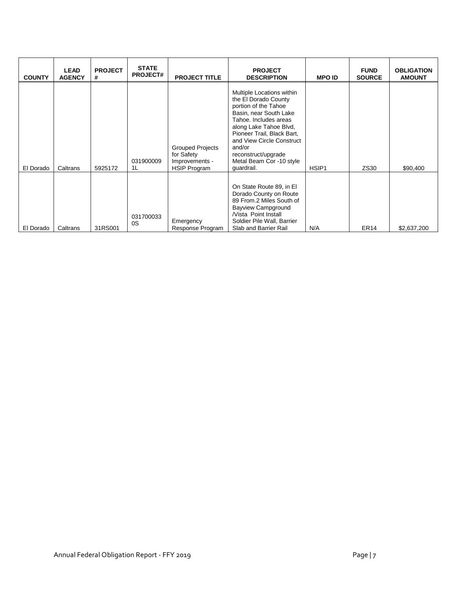| <b>COUNTY</b> | <b>LEAD</b><br><b>AGENCY</b> | <b>PROJECT</b><br># | <b>STATE</b><br><b>PROJECT#</b> | <b>PROJECT TITLE</b>                                                           | <b>PROJECT</b><br><b>DESCRIPTION</b>                                                                                                                                                                                                                                                         | <b>MPO ID</b>     | <b>FUND</b><br><b>SOURCE</b> | <b>OBLIGATION</b><br><b>AMOUNT</b> |
|---------------|------------------------------|---------------------|---------------------------------|--------------------------------------------------------------------------------|----------------------------------------------------------------------------------------------------------------------------------------------------------------------------------------------------------------------------------------------------------------------------------------------|-------------------|------------------------------|------------------------------------|
| El Dorado     | Caltrans                     | 5925172             | 031900009<br>1L                 | <b>Grouped Projects</b><br>for Safety<br>Improvements -<br><b>HSIP Program</b> | Multiple Locations within<br>the El Dorado County<br>portion of the Tahoe<br>Basin, near South Lake<br>Tahoe. Includes areas<br>along Lake Tahoe Blvd,<br>Pioneer Trail, Black Bart,<br>and View Circle Construct<br>and/or<br>reconstruct/upgrade<br>Metal Beam Cor -10 style<br>quardrail. | HSIP <sub>1</sub> | ZS30                         | \$90,400                           |
| El Dorado     | Caltrans                     | 31RS001             | 031700033<br>0S                 | Emergency<br>Response Program                                                  | On State Route 89, in El<br>Dorado County on Route<br>89 From.2 Miles South of<br><b>Bayview Campground</b><br><b>Nista Point Install</b><br>Soldier Pile Wall, Barrier<br>Slab and Barrier Rail                                                                                             | N/A               | ER <sub>14</sub>             | \$2,637,200                        |